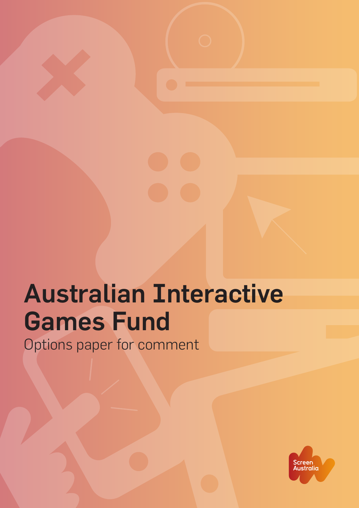# Australian Interactive Games Fund

Options paper for comment

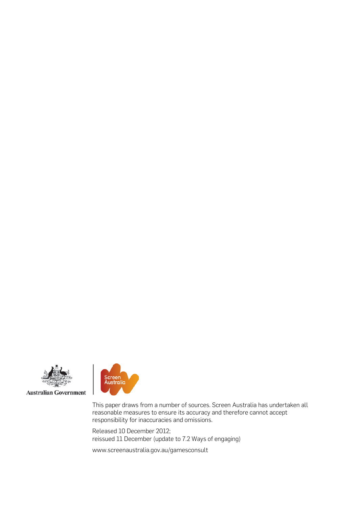

**Australian Government** 



This paper draws from a number of sources. Screen Australia has undertaken all reasonable measures to ensure its accuracy and therefore cannot accept responsibility for inaccuracies and omissions.

Released 10 December 2012; reissued 11 December (update to 7.2 Ways of engaging)

www.screenaustralia.gov.au/gamesconsult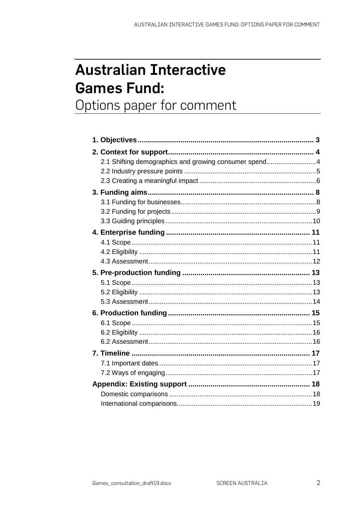## **Australian Interactive Games Fund:**

Options paper for comment

| 2.1 Shifting demographics and growing consumer spend4 |  |
|-------------------------------------------------------|--|
|                                                       |  |
|                                                       |  |
|                                                       |  |
|                                                       |  |
|                                                       |  |
|                                                       |  |
|                                                       |  |
|                                                       |  |
|                                                       |  |
|                                                       |  |
|                                                       |  |
|                                                       |  |
|                                                       |  |
|                                                       |  |
|                                                       |  |
|                                                       |  |
|                                                       |  |
|                                                       |  |
|                                                       |  |
|                                                       |  |
|                                                       |  |
|                                                       |  |
|                                                       |  |
|                                                       |  |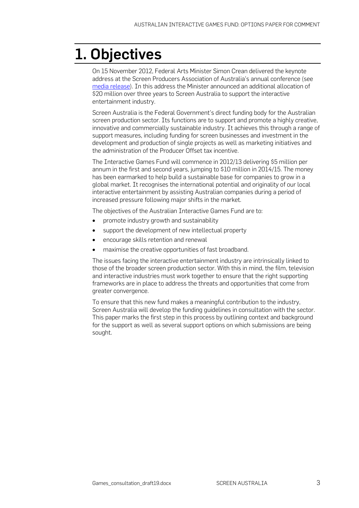## 1. Objectives

On 15 November 2012, Federal Arts Minister Simon Crean delivered the keynote address at the Screen Producers Association of Australia's annual conference (see [media release\)](http://www.minister.regional.gov.au/sc/releases/2012/november/sc216_2012.aspx). In this address the Minister announced an additional allocation of \$20 million over three years to Screen Australia to support the interactive entertainment industry.

Screen Australia is the Federal Government's direct funding body for the Australian screen production sector. Its functions are to support and promote a highly creative, innovative and commercially sustainable industry. It achieves this through a range of support measures, including funding for screen businesses and investment in the development and production of single projects as well as marketing initiatives and the administration of the Producer Offset tax incentive.

The Interactive Games Fund will commence in 2012/13 delivering \$5 million per annum in the first and second years, jumping to \$10 million in 2014/15. The money has been earmarked to help build a sustainable base for companies to grow in a global market. It recognises the international potential and originality of our local interactive entertainment by assisting Australian companies during a period of increased pressure following major shifts in the market.

The objectives of the Australian Interactive Games Fund are to:

- promote industry growth and sustainability
- support the development of new intellectual property
- encourage skills retention and renewal
- maximise the creative opportunities of fast broadband.

The issues facing the interactive entertainment industry are intrinsically linked to those of the broader screen production sector. With this in mind, the film, television and interactive industries must work together to ensure that the right supporting frameworks are in place to address the threats and opportunities that come from greater convergence.

To ensure that this new fund makes a meaningful contribution to the industry, Screen Australia will develop the funding guidelines in consultation with the sector. This paper marks the first step in this process by outlining context and background for the support as well as several support options on which submissions are being sought.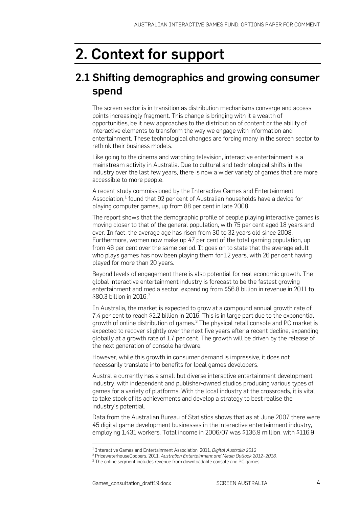## 2. Context for support

### 2.1 Shifting demographics and growing consumer spend

The screen sector is in transition as distribution mechanisms converge and access points increasingly fragment. This change is bringing with it a wealth of opportunities, be it new approaches to the distribution of content or the ability of interactive elements to transform the way we engage with information and entertainment. These technological changes are forcing many in the screen sector to rethink their business models.

Like going to the cinema and watching television, interactive entertainment is a mainstream activity in Australia. Due to cultural and technological shifts in the industry over the last few years, there is now a wider variety of games that are more accessible to more people.

A recent study commissioned by the Interactive Games and Entertainment Association, [1](#page-4-0) found that 92 per cent of Australian households have a device for playing computer games, up from 88 per cent in late 2008.

The report shows that the demographic profile of people playing interactive games is moving closer to that of the general population, with 75 per cent aged 18 years and over. In fact, the average age has risen from 30 to 32 years old since 2008. Furthermore, women now make up 47 per cent of the total gaming population, up from 46 per cent over the same period. It goes on to state that the average adult who plays games has now been playing them for 12 years, with 26 per cent having played for more than 20 years.

Beyond levels of engagement there is also potential for real economic growth. The global interactive entertainment industry is forecast to be the fastest growing entertainment and media sector, expanding from \$56.8 billion in revenue in 2011 to \$80.3 billion in [2](#page-4-1)016<sup>2</sup>

In Australia, the market is expected to grow at a compound annual growth rate of 7.4 per cent to reach \$2.2 billion in 2016. This is in large part due to the exponential growth of online distribution of games. ${}^{3}$  ${}^{3}$  ${}^{3}$  The physical retail console and PC market is expected to recover slightly over the next five years after a recent decline, expanding globally at a growth rate of 1.7 per cent. The growth will be driven by the release of the next generation of console hardware.

However, while this growth in consumer demand is impressive, it does not necessarily translate into benefits for local games developers.

Australia currently has a small but diverse interactive entertainment development industry, with independent and publisher-owned studios producing various types of games for a variety of platforms. With the local industry at the crossroads, it is vital to take stock of its achievements and develop a strategy to best realise the industry's potential.

Data from the Australian Bureau of Statistics shows that as at June 2007 there were 45 digital game development businesses in the interactive entertainment industry, employing 1,431 workers. Total income in 2006/07 was \$136.9 million, with \$116.9

 <sup>1</sup> Interactive Games and Entertainment Association, 2011, *Digital Australia 2012*

<span id="page-4-2"></span><span id="page-4-1"></span><span id="page-4-0"></span><sup>2</sup> PricewaterhouseCoopers, 2011, *Australian Entertainment and Media Outlook 2012–2016.*

<sup>&</sup>lt;sup>3</sup> The online segment includes revenue from downloadable console and PC games.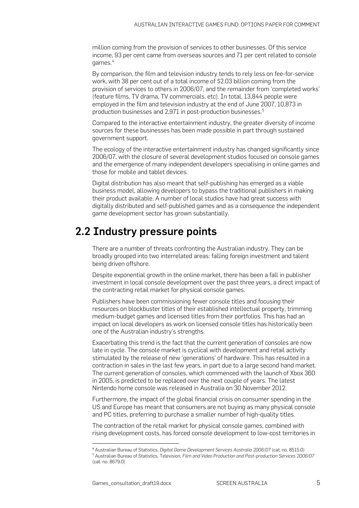million coming from the provision of services to other businesses. Of this service income, 93 per cent came from overseas sources and 71 per cent related to console games.<sup>[4](#page-5-0)</sup>

By comparison, the film and television industry tends to rely less on fee-for-service work, with 38 per cent out of a total income of \$2.03 billion coming from the provision of services to others in 2006/07, and the remainder from 'completed works' (feature films, TV drama, TV commercials, etc). In total, 13,844 people were employed in the film and television industry at the end of June 2007, 10,873 in production businesses and 2,971 in post-production businesses.[5](#page-5-1)

Compared to the interactive entertainment industry, the greater diversity of income sources for these businesses has been made possible in part through sustained government support.

The ecology of the interactive entertainment industry has changed significantly since 2006/07, with the closure of several development studios focused on console games and the emergence of many independent developers specialising in online games and those for mobile and tablet devices.

Digital distribution has also meant that self-publishing has emerged as a viable business model, allowing developers to bypass the traditional publishers in making their product available. A number of local studios have had great success with digitally distributed and self-published games and as a consequence the independent game development sector has grown substantially.

### 2.2 Industry pressure points

There are a number of threats confronting the Australian industry. They can be broadly grouped into two interrelated areas: falling foreign investment and talent being driven offshore.

Despite exponential growth in the online market, there has been a fall in publisher investment in local console development over the past three years, a direct impact of the contracting retail market for physical console games.

Publishers have been commissioning fewer console titles and focusing their resources on blockbuster titles of their established intellectual property, trimming medium-budget games and licensed titles from their portfolios. This has had an impact on local developers as work on licensed console titles has historically been one of the Australian industry's strengths.

Exacerbating this trend is the fact that the current generation of consoles are now late in cycle. The console market is cyclical with development and retail activity stimulated by the release of new 'generations' of hardware. This has resulted in a contraction in sales in the last few years, in part due to a large second hand market. The current generation of consoles, which commenced with the launch of Xbox 360 in 2005, is predicted to be replaced over the next couple of years. The latest Nintendo home console was released in Australia on 30 November 2012.

Furthermore, the impact of the global financial crisis on consumer spending in the US and Europe has meant that consumers are not buying as many physical console and PC titles, preferring to purchase a smaller number of high-quality titles.

The contraction of the retail market for physical console games, combined with rising development costs, has forced console development to low-cost territories in

<span id="page-5-1"></span><span id="page-5-0"></span> <sup>4</sup> Australian Bureau of Statistics, *Digital Game Development Services Australia 2006/07* (cat. no. 8515.0) <sup>5</sup> Australian Bureau of Statistics, Television, *Film and Video Production and Post-production Services 2006/07* (cat. no. 8679.0)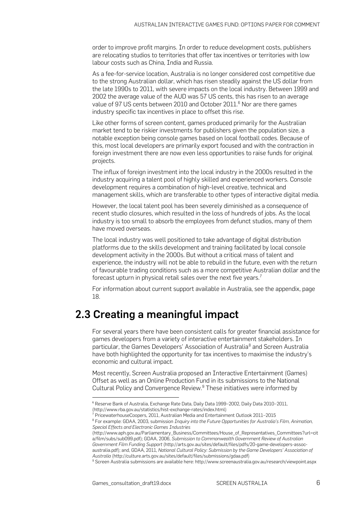order to improve profit margins. In order to reduce development costs, publishers are relocating studios to territories that offer tax incentives or territories with low labour costs such as China, India and Russia.

As a fee-for-service location, Australia is no longer considered cost competitive due to the strong Australian dollar, which has risen steadily against the US dollar from the late 1990s to 2011, with severe impacts on the local industry. Between 1999 and 2002 the average value of the AUD was 57 US cents, this has risen to an average value of 97 US cents between 2010 and October 2011.<sup>[6](#page-6-0)</sup> Nor are there games industry specific tax incentives in place to offset this rise.

Like other forms of screen content, games produced primarily for the Australian market tend to be riskier investments for publishers given the population size, a notable exception being console games based on local football codes. Because of this, most local developers are primarily export focused and with the contraction in foreign investment there are now even less opportunities to raise funds for original projects.

The influx of foreign investment into the local industry in the 2000s resulted in the industry acquiring a talent pool of highly skilled and experienced workers. Console development requires a combination of high-level creative, technical and management skills, which are transferable to other types of interactive digital media.

However, the local talent pool has been severely diminished as a consequence of recent studio closures, which resulted in the loss of hundreds of jobs. As the local industry is too small to absorb the employees from defunct studios, many of them have moved overseas.

The local industry was well positioned to take advantage of digital distribution platforms due to the skills development and training facilitated by local console development activity in the 2000s. But without a critical mass of talent and experience, the industry will not be able to rebuild in the future, even with the return of favourable trading conditions such as a more competitive Australian dollar and the forecast upturn in physical retail sales over the next five years.<sup>[7](#page-6-1)</sup>

For information about current support available in Australia, see the appendix, page [18.](#page-18-0)

### 2.3 Creating a meaningful impact

For several years there have been consistent calls for greater financial assistance for games developers from a variety of interactive entertainment stakeholders. In particular, the Games Developers' Association of Australia<sup>[8](#page-6-2)</sup> and Screen Australia have both highlighted the opportunity for tax incentives to maximise the industry's economic and cultural impact.

Most recently, Screen Australia proposed an Interactive Entertainment (Games) Offset as well as an Online Production Fund in its submissions to the National Cultural Policy and Convergence Review.<sup>[9](#page-6-3)</sup> These initiatives were informed by

<span id="page-6-0"></span> <sup>6</sup> Reserve Bank of Australia, Exchange Rate Data, Daily Data 1999–2002, Daily Data 2010–2011, ( [http://www.rba.gov.au/statistics/hist-exchange-rates/index.html\)](http://www.rba.gov.au/statistics/hist-exchange-rates/index.html)

<span id="page-6-1"></span><sup>7</sup> PricewaterhouseCoopers, 2011, Australian Media and Entertainment Outlook 2011–2015

<span id="page-6-2"></span><sup>8</sup> For example: GDAA, 2003, submission *Inquiry into the Future Opportunities for Australia's Film, Animation, Special Effects and Electronic Games Industries*

[<sup>\(</sup>http://www.aph.gov.au/Parliamentary\\_Business/Committees/House\\_of\\_Representatives\\_Committees?url=cit](http://www.aph.gov.au/Parliamentary_Business/Committees/House_of_Representatives_Committees?url=cita/film/subs/sub099.pdf) [a/film/subs/sub099.pdf\)](http://www.aph.gov.au/Parliamentary_Business/Committees/House_of_Representatives_Committees?url=cita/film/subs/sub099.pdf); GDAA, 2006, *Submission to Commonwealth Government Review of Australian Government Film Funding Support* [\(http://arts.gov.au/sites/default/files/pdfs/20-game-developers-assoc](http://arts.gov.au/sites/default/files/pdfs/20-game-developers-assoc-australia.pdf)[australia.pdf\)](http://arts.gov.au/sites/default/files/pdfs/20-game-developers-assoc-australia.pdf); and, GDAA, 2011, *National Cultural Policy: Submission by the Game Developers' Association of Australia* [\(http://culture.arts.gov.au/sites/default/files/submissions/gdaa.pdf\)](http://culture.arts.gov.au/sites/default/files/submissions/gdaa.pdf)

<span id="page-6-3"></span><sup>9</sup> Screen Australia submissions are available here[: http://www.screenaustralia.gov.au/research/viewpoint.aspx](http://www.screenaustralia.gov.au/research/viewpoint.aspx)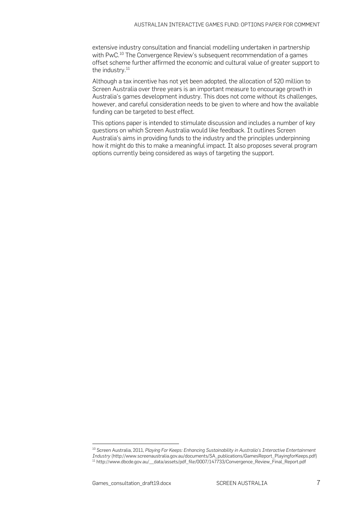extensive industry consultation and financial modelling undertaken in partnership with PwC.<sup>[10](#page-7-0)</sup> The Convergence Review's subsequent recommendation of a games offset scheme further affirmed the economic and cultural value of greater support to the industry.<sup>[11](#page-7-1)</sup>

Although a tax incentive has not yet been adopted, the allocation of \$20 million to Screen Australia over three years is an important measure to encourage growth in Australia's games development industry. This does not come without its challenges, however, and careful consideration needs to be given to where and how the available funding can be targeted to best effect.

This options paper is intended to stimulate discussion and includes a number of key questions on which Screen Australia would like feedback. It outlines Screen Australia's aims in providing funds to the industry and the principles underpinning how it might do this to make a meaningful impact. It also proposes several program options currently being considered as ways of targeting the support.

 $\overline{a}$ 

<span id="page-7-1"></span><span id="page-7-0"></span><sup>10</sup> Screen Australia, 2011, *Playing For Keeps: Enhancing Sustainability in Australia's Interactive Entertainment Industry* [\(http://www.screenaustralia.gov.au/documents/SA\\_publications/GamesReport\\_PlayingforKeeps.pdf\)](http://www.screenaustralia.gov.au/documents/SA_publications/GamesReport_PlayingforKeeps.pdf) <sup>11</sup> [http://www.dbcde.gov.au/\\_\\_data/assets/pdf\\_file/0007/147733/Convergence\\_Review\\_Final\\_Report.pdf](http://www.dbcde.gov.au/__data/assets/pdf_file/0007/147733/Convergence_Review_Final_Report.pdf)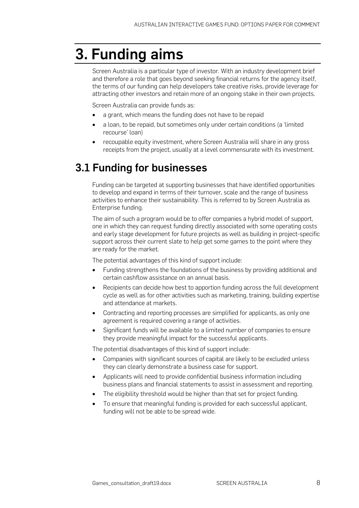## 3. Funding aims

Screen Australia is a particular type of investor. With an industry development brief and therefore a role that goes beyond seeking financial returns for the agency itself, the terms of our funding can help developers take creative risks, provide leverage for attracting other investors and retain more of an ongoing stake in their own projects.

Screen Australia can provide funds as:

- a grant, which means the funding does not have to be repaid
- a loan, to be repaid, but sometimes only under certain conditions (a 'limited recourse' loan)
- recoupable equity investment, where Screen Australia will share in any gross receipts from the project, usually at a level commensurate with its investment.

### 3.1 Funding for businesses

Funding can be targeted at supporting businesses that have identified opportunities to develop and expand in terms of their turnover, scale and the range of business activities to enhance their sustainability. This is referred to by Screen Australia as Enterprise funding.

The aim of such a program would be to offer companies a hybrid model of support, one in which they can request funding directly associated with some operating costs and early stage development for future projects as well as building in project-specific support across their current slate to help get some games to the point where they are ready for the market.

The potential advantages of this kind of support include:

- Funding strengthens the foundations of the business by providing additional and certain cashflow assistance on an annual basis.
- Recipients can decide how best to apportion funding across the full development cycle as well as for other activities such as marketing, training, building expertise and attendance at markets.
- Contracting and reporting processes are simplified for applicants, as only one agreement is required covering a range of activities.
- Significant funds will be available to a limited number of companies to ensure they provide meaningful impact for the successful applicants.

The potential disadvantages of this kind of support include:

- Companies with significant sources of capital are likely to be excluded unless they can clearly demonstrate a business case for support.
- Applicants will need to provide confidential business information including business plans and financial statements to assist in assessment and reporting.
- The eligibility threshold would be higher than that set for project funding.
- To ensure that meaningful funding is provided for each successful applicant, funding will not be able to be spread wide.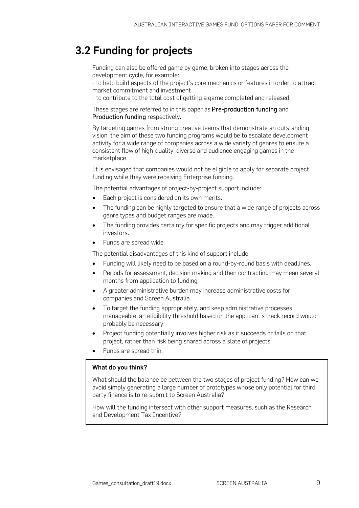## 3.2 Funding for projects

Funding can also be offered game by game, broken into stages across the development cycle, for example:

- to help build aspects of the project's core mechanics or features in order to attract market commitment and investment

- to contribute to the total cost of getting a game completed and released.

These stages are referred to in this paper as Pre-production funding and Production funding respectively.

By targeting games from strong creative teams that demonstrate an outstanding vision, the aim of these two funding programs would be to escalate development activity for a wide range of companies across a wide variety of genres to ensure a consistent flow of high-quality, diverse and audience engaging games in the marketplace.

It is envisaged that companies would not be eligible to apply for separate project funding while they were receiving Enterprise funding.

The potential advantages of project-by-project support include:

- Each project is considered on its own merits.
- The funding can be highly targeted to ensure that a wide range of projects across genre types and budget ranges are made.
- The funding provides certainty for specific projects and may trigger additional investors.
- Funds are spread wide.

The potential disadvantages of this kind of support include:

- Funding will likely need to be based on a round-by-round basis with deadlines.
- Periods for assessment, decision making and then contracting may mean several months from application to funding.
- A greater administrative burden may increase administrative costs for companies and Screen Australia.
- To target the funding appropriately, and keep administrative processes manageable, an eligibility threshold based on the applicant's track record would probably be necessary.
- Project funding potentially involves higher risk as it succeeds or fails on that project, rather than risk being shared across a slate of projects.
- Funds are spread thin.

#### What do you think?

What should the balance be between the two stages of project funding? How can we avoid simply generating a large number of prototypes whose only potential for third party finance is to re-submit to Screen Australia?

How will the funding intersect with other support measures, such as the Research and Development Tax Incentive?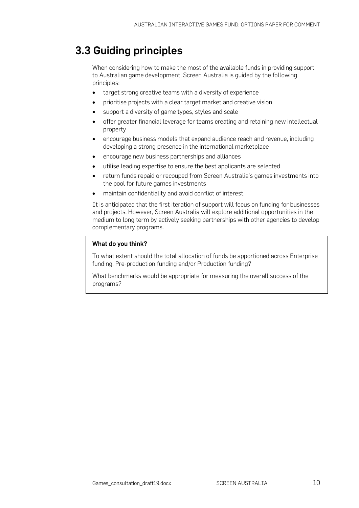## 3.3 Guiding principles

When considering how to make the most of the available funds in providing support to Australian game development, Screen Australia is guided by the following principles:

- target strong creative teams with a diversity of experience
- prioritise projects with a clear target market and creative vision
- support a diversity of game types, styles and scale
- offer greater financial leverage for teams creating and retaining new intellectual property
- encourage business models that expand audience reach and revenue, including developing a strong presence in the international marketplace
- encourage new business partnerships and alliances
- utilise leading expertise to ensure the best applicants are selected
- return funds repaid or recouped from Screen Australia's games investments into the pool for future games investments
- maintain confidentiality and avoid conflict of interest.

It is anticipated that the first iteration of support will focus on funding for businesses and projects. However, Screen Australia will explore additional opportunities in the medium to long term by actively seeking partnerships with other agencies to develop complementary programs.

#### What do you think?

To what extent should the total allocation of funds be apportioned across Enterprise funding, Pre-production funding and/or Production funding?

What benchmarks would be appropriate for measuring the overall success of the programs?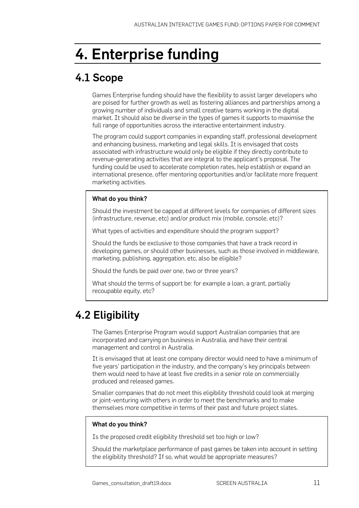## 4. Enterprise funding

## 4.1 Scope

Games Enterprise funding should have the flexibility to assist larger developers who are poised for further growth as well as fostering alliances and partnerships among a growing number of individuals and small creative teams working in the digital market. It should also be diverse in the types of games it supports to maximise the full range of opportunities across the interactive entertainment industry.

The program could support companies in expanding staff, professional development and enhancing business, marketing and legal skills. It is envisaged that costs associated with infrastructure would only be eligible if they directly contribute to revenue-generating activities that are integral to the applicant's proposal. The funding could be used to accelerate completion rates, help establish or expand an international presence, offer mentoring opportunities and/or facilitate more frequent marketing activities.

#### What do you think?

Should the investment be capped at different levels for companies of different sizes (infrastructure, revenue, etc) and/or product mix (mobile, console, etc)?

What types of activities and expenditure should the program support?

Should the funds be exclusive to those companies that have a track record in developing games, or should other businesses, such as those involved in middleware, marketing, publishing, aggregation, etc, also be eligible?

Should the funds be paid over one, two or three years?

What should the terms of support be: for example a loan, a grant, partially recoupable equity, etc?

## 4.2 Eligibility

The Games Enterprise Program would support Australian companies that are incorporated and carrying on business in Australia, and have their central management and control in Australia.

It is envisaged that at least one company director would need to have a minimum of five years' participation in the industry, and the company's key principals between them would need to have at least five credits in a senior role on commercially produced and released games.

Smaller companies that do not meet this eligibility threshold could look at merging or joint-venturing with others in order to meet the benchmarks and to make themselves more competitive in terms of their past and future project slates.

#### What do you think?

Is the proposed credit eligibility threshold set too high or low?

Should the marketplace performance of past games be taken into account in setting the eligibility threshold? If so, what would be appropriate measures?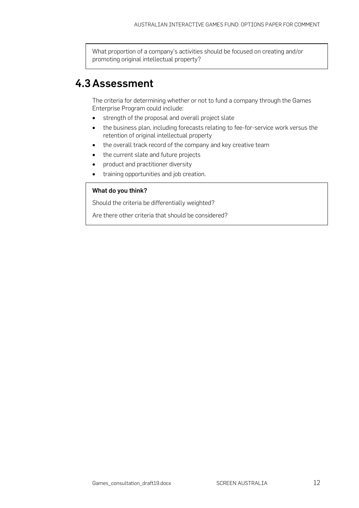What proportion of a company's activities should be focused on creating and/or promoting original intellectual property?

### 4.3Assessment

The criteria for determining whether or not to fund a company through the Games Enterprise Program could include:

- strength of the proposal and overall project slate
- the business plan, including forecasts relating to fee-for-service work versus the retention of original intellectual property
- the overall track record of the company and key creative team
- the current slate and future projects
- product and practitioner diversity
- training opportunities and job creation.

#### What do you think?

Should the criteria be differentially weighted?

Are there other criteria that should be considered?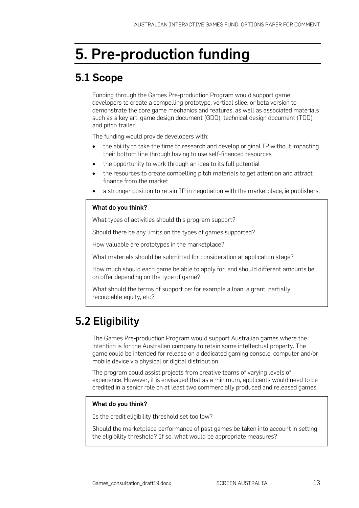## 5. Pre-production funding

## 5.1 Scope

Funding through the Games Pre-production Program would support game developers to create a compelling prototype, vertical slice, or beta version to demonstrate the core game mechanics and features, as well as associated materials such as a key art, game design document (GDD), technical design document (TDD) and pitch trailer.

The funding would provide developers with:

- the ability to take the time to research and develop original IP without impacting their bottom line through having to use self-financed resources
- the opportunity to work through an idea to its full potential
- the resources to create compelling pitch materials to get attention and attract finance from the market
- a stronger position to retain IP in negotiation with the marketplace, ie publishers.

#### What do you think?

What types of activities should this program support?

Should there be any limits on the types of games supported?

How valuable are prototypes in the marketplace?

What materials should be submitted for consideration at application stage?

How much should each game be able to apply for, and should different amounts be on offer depending on the type of game?

What should the terms of support be: for example a loan, a grant, partially recoupable equity, etc?

## 5.2 Eligibility

The Games Pre-production Program would support Australian games where the intention is for the Australian company to retain some intellectual property. The game could be intended for release on a dedicated gaming console, computer and/or mobile device via physical or digital distribution.

The program could assist projects from creative teams of varying levels of experience. However, it is envisaged that as a minimum, applicants would need to be credited in a senior role on at least two commercially produced and released games.

#### What do you think?

Is the credit eligibility threshold set too low?

Should the marketplace performance of past games be taken into account in setting the eligibility threshold? If so, what would be appropriate measures?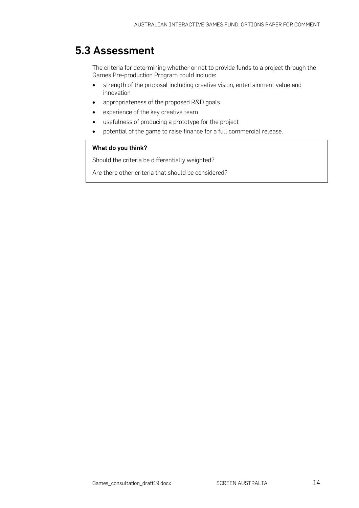### 5.3 Assessment

The criteria for determining whether or not to provide funds to a project through the Games Pre-production Program could include:

- strength of the proposal including creative vision, entertainment value and innovation
- appropriateness of the proposed R&D goals
- experience of the key creative team
- usefulness of producing a prototype for the project
- potential of the game to raise finance for a full commercial release.

#### What do you think?

Should the criteria be differentially weighted?

Are there other criteria that should be considered?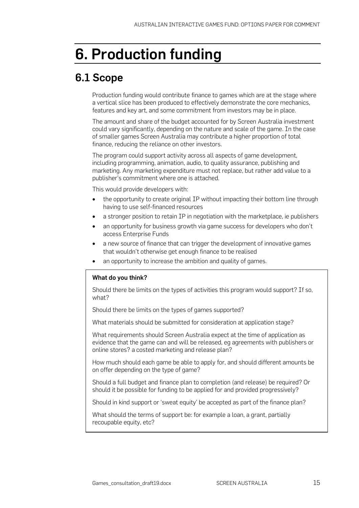## 6. Production funding

### 6.1 Scope

Production funding would contribute finance to games which are at the stage where a vertical slice has been produced to effectively demonstrate the core mechanics, features and key art, and some commitment from investors may be in place.

The amount and share of the budget accounted for by Screen Australia investment could vary significantly, depending on the nature and scale of the game. In the case of smaller games Screen Australia may contribute a higher proportion of total finance, reducing the reliance on other investors.

The program could support activity across all aspects of game development, including programming, animation, audio, to quality assurance, publishing and marketing. Any marketing expenditure must not replace, but rather add value to a publisher's commitment where one is attached.

This would provide developers with:

- the opportunity to create original IP without impacting their bottom line through having to use self-financed resources
- a stronger position to retain IP in negotiation with the marketplace, ie publishers
- an opportunity for business growth via game success for developers who don't access Enterprise Funds
- a new source of finance that can trigger the development of innovative games that wouldn't otherwise get enough finance to be realised
- an opportunity to increase the ambition and quality of games.

#### What do you think?

Should there be limits on the types of activities this program would support? If so, what?

Should there be limits on the types of games supported?

What materials should be submitted for consideration at application stage?

What requirements should Screen Australia expect at the time of application as evidence that the game can and will be released, eg agreements with publishers or online stores? a costed marketing and release plan?

How much should each game be able to apply for, and should different amounts be on offer depending on the type of game?

Should a full budget and finance plan to completion (and release) be required? Or should it be possible for funding to be applied for and provided progressively?

Should in kind support or 'sweat equity' be accepted as part of the finance plan?

What should the terms of support be: for example a loan, a grant, partially recoupable equity, etc?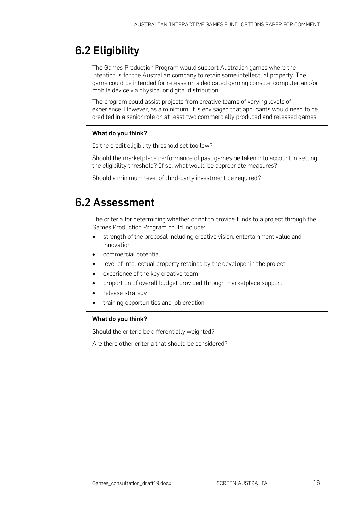## 6.2 Eligibility

The Games Production Program would support Australian games where the intention is for the Australian company to retain some intellectual property. The game could be intended for release on a dedicated gaming console, computer and/or mobile device via physical or digital distribution.

The program could assist projects from creative teams of varying levels of experience. However, as a minimum, it is envisaged that applicants would need to be credited in a senior role on at least two commercially produced and released games.

#### What do you think?

Is the credit eligibility threshold set too low?

Should the marketplace performance of past games be taken into account in setting the eligibility threshold? If so, what would be appropriate measures?

Should a minimum level of third-party investment be required?

### 6.2 Assessment

The criteria for determining whether or not to provide funds to a project through the Games Production Program could include:

- strength of the proposal including creative vision, entertainment value and innovation
- commercial potential
- level of intellectual property retained by the developer in the project
- experience of the key creative team
- proportion of overall budget provided through marketplace support
- release strategy
- training opportunities and job creation.

#### What do you think?

Should the criteria be differentially weighted?

Are there other criteria that should be considered?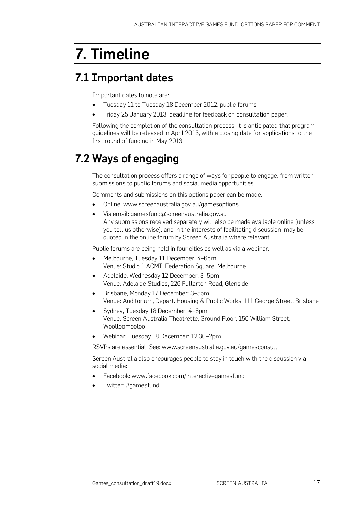## 7. Timeline

## 7.1 Important dates

Important dates to note are:

- Tuesday 11 to Tuesday 18 December 2012: public forums
- Friday 25 January 2013: deadline for feedback on consultation paper.

Following the completion of the consultation process, it is anticipated that program guidelines will be released in April 2013, with a closing date for applications to the first round of funding in May 2013.

## 7.2 Ways of engaging

The consultation process offers a range of ways for people to engage, from written submissions to public forums and social media opportunities.

Comments and submissions on this options paper can be made:

- Online[: www.screenaustralia.gov.au/gamesoptions](http://www.screenaustralia.gov.au/gamesoptions)
- Via email[: gamesfund@screenaustralia.gov.au](mailto:gamesfund@screenaustralia.gov.au) Any submissions received separately will also be made available online (unless you tell us otherwise), and in the interests of facilitating discussion, may be quoted in the online forum by Screen Australia where relevant.

Public forums are being held in four cities as well as via a webinar:

- Melbourne, Tuesday 11 December: 4–6pm Venue: Studio 1 ACMI, Federation Square, Melbourne
- Adelaide, Wednesday 12 December: 3–5pm Venue: Adelaide Studios, 226 Fullarton Road, Glenside
- Brisbane, Monday 17 December: 3–5pm Venue: Auditorium, Depart. Housing & Public Works, 111 George Street, Brisbane
- Sydney, Tuesday 18 December: 4–6pm Venue: Screen Australia Theatrette, Ground Floor, 150 William Street, Woolloomooloo
- Webinar, Tuesday 18 December: 12.30–2pm

RSVPs are essential. See: [www.screenaustralia.gov.au/gamesconsult](http://www.screenaustralia.gov.au/gamesconsult)

Screen Australia also encourages people to stay in touch with the discussion via social media:

- Facebook: [www.facebook.com/interactivegamesfund](http://www.facebook.com/interactivegamesfund)
- Twitter[: #gamesfund](https://twitter.com/search/realtime?q=%23gamesfund&src=typd)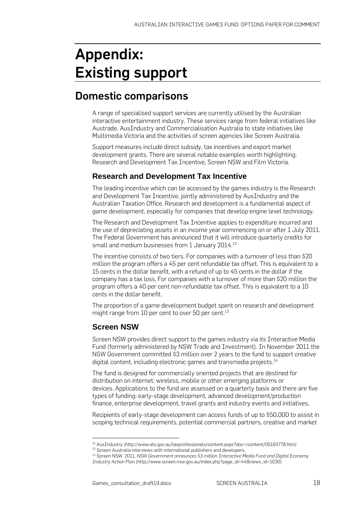## <span id="page-18-0"></span>Appendix: Existing support

### Domestic comparisons

A range of specialised support services are currently utilised by the Australian interactive entertainment industry. These services range from federal initiatives like Austrade, AusIndustry and Commercialisation Australia to state initiatives like Multimedia Victoria and the activities of screen agencies like Screen Australia.

Support measures include direct subsidy, tax incentives and export market development grants. There are several notable examples worth highlighting: Research and Development Tax Incentive, Screen NSW and Film Victoria.

#### **Research and Development Tax Incentive**

The leading incentive which can be accessed by the games industry is the Research and Development Tax Incentive, jointly administered by AusIndustry and the Australian Taxation Office. Research and development is a fundamental aspect of game development, especially for companies that develop engine level technology.

The Research and Development Tax Incentive applies to expenditure incurred and the use of depreciating assets in an income year commencing on or after 1 July 2011. The Federal Government has announced that it will introduce quarterly credits for small and medium businesses from 1 January 2014.<sup>[12](#page-18-1)</sup>

The incentive consists of two tiers. For companies with a turnover of less than \$20 million the program offers a 45 per cent refundable tax offset. This is equivalent to a 15 cents in the dollar benefit, with a refund of up to 45 cents in the dollar if the company has a tax loss. For companies with a turnover of more than \$20 million the program offers a 40 per cent non-refundable tax offset. This is equivalent to a 10 cents in the dollar benefit.

The proportion of a game development budget spent on research and development might range from 10 per cent to over 50 per cent.<sup>[13](#page-18-2)</sup>

#### **Screen NSW**

Screen NSW provides direct support to the games industry via its Interactive Media Fund (formerly administered by NSW Trade and Investment). In November 2011 the NSW Government committed \$3 million over 2 years to the fund to support creative digital content, including electronic games and transmedia projects.<sup>[14](#page-18-3)</sup>

The fund is designed for commercially oriented projects that are destined for distribution on internet, wireless, mobile or other emerging platforms or devices. Applications to the fund are assessed on a quarterly basis and there are five types of funding: early-stage development, advanced development/production finance, enterprise development, travel grants and industry events and initiatives.

Recipients of early-stage development can access funds of up to \$50,000 to assist in scoping technical requirements, potential commercial partners, creative and market

 $\overline{a}$ <sup>12</sup> AusIndustry [\(http://www.ato.gov.au/taxprofessionals/content.aspx?doc=/content/00193778.htm\)](http://www.ato.gov.au/taxprofessionals/content.aspx?doc=/content/00193778.htm)

<span id="page-18-2"></span><span id="page-18-1"></span><sup>&</sup>lt;sup>13</sup> Screen Australia interviews with international publishers and developers.

<span id="page-18-3"></span><sup>14</sup> Screen NSW, 2011, *NSW Government announces \$3 million Interactive Media Fund and Digital Economy Industry Action Plan* [\(http://www.screen.nsw.gov.au/index.php?page\\_id=44&news\\_id=1030\)](http://www.screen.nsw.gov.au/index.php?page_id=44&news_id=1030)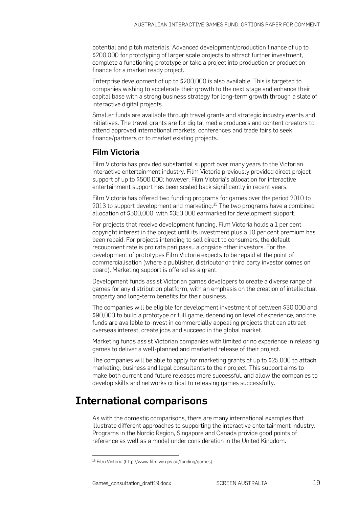potential and pitch materials. Advanced development/production finance of up to \$200,000 for prototyping of larger scale projects to attract further investment, complete a functioning prototype or take a project into production or production finance for a market ready project.

Enterprise development of up to \$200,000 is also available. This is targeted to companies wishing to accelerate their growth to the next stage and enhance their capital base with a strong business strategy for long-term growth through a slate of interactive digital projects.

Smaller funds are available through travel grants and strategic industry events and initiatives. The travel grants are for digital media producers and content creators to attend approved international markets, conferences and trade fairs to seek finance/partners or to market existing projects.

#### **Film Victoria**

Film Victoria has provided substantial support over many years to the Victorian interactive entertainment industry. Film Victoria previously provided direct project support of up to \$500,000; however, Film Victoria's allocation for interactive entertainment support has been scaled back significantly in recent years.

Film Victoria has offered two funding programs for games over the period 2010 to 2013 to support development and marketing. $15$  The two programs have a combined allocation of \$500,000, with \$350,000 earmarked for development support.

For projects that receive development funding, Film Victoria holds a 1 per cent copyright interest in the project until its investment plus a 10 per cent premium has been repaid. For projects intending to sell direct to consumers, the default recoupment rate is pro rata pari passu alongside other investors. For the development of prototypes Film Victoria expects to be repaid at the point of commercialisation (where a publisher, distributor or third party investor comes on board). Marketing support is offered as a grant.

Development funds assist Victorian games developers to create a diverse range of games for any distribution platform, with an emphasis on the creation of intellectual property and long-term benefits for their business.

The companies will be eligible for development investment of between \$30,000 and \$90,000 to build a prototype or full game, depending on level of experience, and the funds are available to invest in commercially appealing projects that can attract overseas interest, create jobs and succeed in the global market.

Marketing funds assist Victorian companies with limited or no experience in releasing games to deliver a well-planned and marketed release of their project.

The companies will be able to apply for marketing grants of up to \$25,000 to attach marketing, business and legal consultants to their project. This support aims to make both current and future releases more successful, and allow the companies to develop skills and networks critical to releasing games successfully.

## International comparisons

As with the domestic comparisons, there are many international examples that illustrate different approaches to supporting the interactive entertainment industry. Programs in the Nordic Region, Singapore and Canada provide good points of reference as well as a model under consideration in the United Kingdom.

 $\overline{a}$ 

<span id="page-19-0"></span><sup>15</sup> Film Victoria [\(http://www.film.vic.gov.au/funding/games\)](http://www.film.vic.gov.au/funding/games)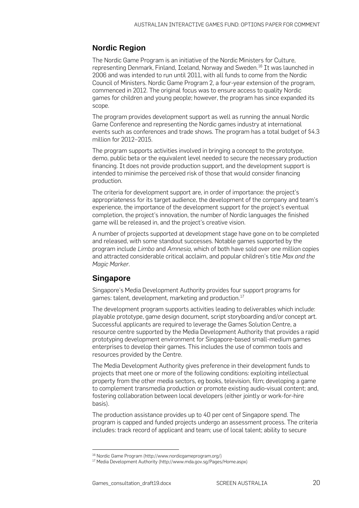#### **Nordic Region**

The Nordic Game Program is an initiative of the Nordic Ministers for Culture, representing Denmark, Finland, Iceland, Norway and Sweden.<sup>[16](#page-20-0)</sup> It was launched in 2006 and was intended to run until 2011, with all funds to come from the Nordic Council of Ministers. Nordic Game Program 2, a four-year extension of the program, commenced in 2012. The original focus was to ensure access to quality Nordic games for children and young people; however, the program has since expanded its scope.

The program provides development support as well as running the annual Nordic Game Conference and representing the Nordic games industry at international events such as conferences and trade shows. The program has a total budget of \$4.3 million for 2012–2015.

The program supports activities involved in bringing a concept to the prototype, demo, public beta or the equivalent level needed to secure the necessary production financing. It does not provide production support, and the development support is intended to minimise the perceived risk of those that would consider financing production.

The criteria for development support are, in order of importance: the project's appropriateness for its target audience, the development of the company and team's experience, the importance of the development support for the project's eventual completion, the project's innovation, the number of Nordic languages the finished game will be released in, and the project's creative vision.

A number of projects supported at development stage have gone on to be completed and released, with some standout successes. Notable games supported by the program include *Limbo* and *Amnesia*, which of both have sold over one million copies and attracted considerable critical acclaim, and popular children's title *Max and the Magic Marker*.

#### **Singapore**

Singapore's Media Development Authority provides four support programs for games: talent, development, marketing and production.<sup>[17](#page-20-1)</sup>

The development program supports activities leading to deliverables which include: playable prototype, game design document, script storyboarding and/or concept art. Successful applicants are required to leverage the Games Solution Centre, a resource centre supported by the Media Development Authority that provides a rapid prototyping development environment for Singapore-based small-medium games enterprises to develop their games. This includes the use of common tools and resources provided by the Centre.

The Media Development Authority gives preference in their development funds to projects that meet one or more of the following conditions: exploiting intellectual property from the other media sectors, eg books, television, film; developing a game to complement transmedia production or promote existing audio-visual content; and, fostering collaboration between local developers (either jointly or work-for-hire basis).

The production assistance provides up to 40 per cent of Singapore spend. The program is capped and funded projects undergo an assessment process. The criteria includes: track record of applicant and team; use of local talent; ability to secure

 $\overline{a}$ 

<sup>16</sup> Nordic Game Program [\(http://www.nordicgameprogram.org/\)](http://www.nordicgameprogram.org/)

<span id="page-20-1"></span><span id="page-20-0"></span><sup>17</sup> Media Development Authority [\(http://www.mda.gov.sg/Pages/Home.aspx\)](http://www.mda.gov.sg/Pages/Home.aspx)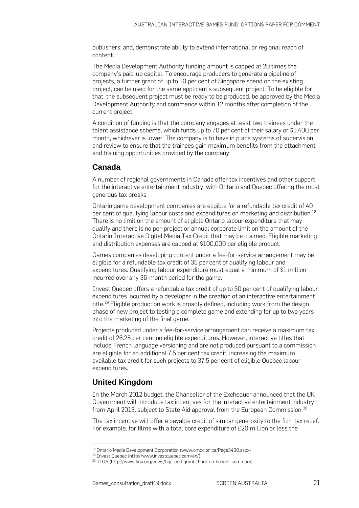publishers; and, demonstrate ability to extend international or regional reach of content.

The Media Development Authority funding amount is capped at 20 times the company's paid-up capital. To encourage producers to generate a pipeline of projects, a further grant of up to 10 per cent of Singapore spend on the existing project, can be used for the same applicant's subsequent project. To be eligible for that, the subsequent project must be ready to be produced, be approved by the Media Development Authority and commence within 12 months after completion of the current project.

A condition of funding is that the company engages at least two trainees under the talent assistance scheme, which funds up to 70 per cent of their salary or \$1,400 per month, whichever is lower. The company is to have in place systems of supervision and review to ensure that the trainees gain maximum benefits from the attachment and training opportunities provided by the company.

#### **Canada**

A number of regional governments in Canada offer tax incentives and other support for the interactive entertainment industry, with Ontario and Quebec offering the most generous tax breaks.

Ontario game development companies are eligible for a refundable tax credit of 40 per cent of qualifying labour costs and expenditures on marketing and distribution.<sup>[18](#page-21-0)</sup> There is no limit on the amount of eligible Ontario labour expenditure that may qualify and there is no per-project or annual corporate limit on the amount of the Ontario Interactive Digital Media Tax Credit that may be claimed. Eligible marketing and distribution expenses are capped at \$100,000 per eligible product.

Games companies developing content under a fee-for-service arrangement may be eligible for a refundable tax credit of 35 per cent of qualifying labour and expenditures. Qualifying labour expenditure must equal a minimum of \$1 million incurred over any 36-month period for the game.

Invest Quebec offers a refundable tax credit of up to 30 per cent of qualifying labour expenditures incurred by a developer in the creation of an interactive entertainment title.<sup>[19](#page-21-1)</sup> Eligible production work is broadly defined, including work from the design phase of new project to testing a complete game and extending for up to two years into the marketing of the final game.

Projects produced under a fee-for-service arrangement can receive a maximum tax credit of 26.25 per cent on eligible expenditures. However, interactive titles that include French language versioning and are not produced pursuant to a commission are eligible for an additional 7.5 per cent tax credit, increasing the maximum available tax credit for such projects to 37.5 per cent of eligible Quebec labour expenditures.

#### **United Kingdom**

 $\overline{a}$ 

In the March 2012 budget, the Chancellor of the Exchequer announced that the UK Government will introduce tax incentives for the interactive entertainment industry from April [20](#page-21-2)13, subject to State Aid approval from the European Commission.<sup>20</sup>

The tax incentive will offer a payable credit of similar generosity to the film tax relief. For example, for films with a total core expenditure of £20 million or less the

<sup>18</sup> Ontario Media Development Corporation [\(www.omdc.on.ca/Page3400.aspx\)](http://www.omdc.on.ca/Page3400.aspx)

<span id="page-21-2"></span><span id="page-21-1"></span><span id="page-21-0"></span><sup>19</sup> Invest Quebec [\(http://www.investquebec.com/en/\)](http://www.investquebec.com/en/)

<sup>20</sup> TIGA [\(http://www.tiga.org/news/tiga-and-grant-thornton-budget-summary\)](http://www.tiga.org/news/tiga-and-grant-thornton-budget-summary)